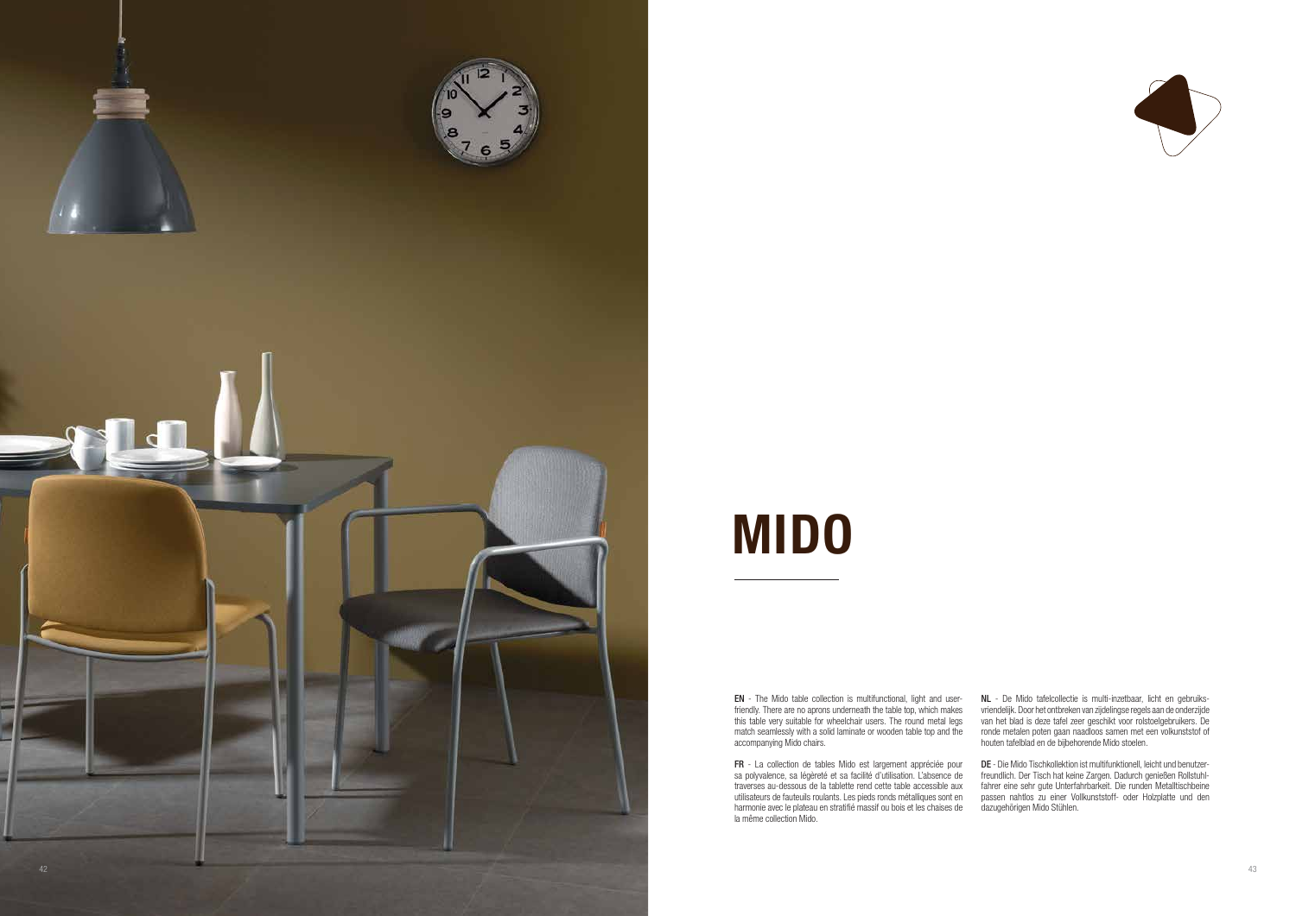EN - The Mido table collection is multifunctional, light and userfriendly. There are no aprons underneath the table top, which makes this table very suitable for wheelchair users. The round metal legs match seamlessly with a solid laminate or wooden table top and the accompanying Mido chairs.

FR - La collection de tables Mido est largement appréciée pour sa polyvalence, sa légèreté et sa facilité d'utilisation. L'absence de traverses au-dessous de la tablette rend cette table accessible aux utilisateurs de fauteuils roulants. Les pieds ronds métalliques sont en harmonie avec le plateau en stratifié massif ou bois et les chaises de la même collection Mido.



NL - De Mido tafelcollectie is multi-inzetbaar, licht en gebruiksvriendelijk. Door het ontbreken van zijdelingse regels aan de onderzijde van het blad is deze tafel zeer geschikt voor rolstoelgebruikers. De ronde metalen poten gaan naadloos samen met een volkunststof of houten tafelblad en de bijbehorende Mido stoelen.

DE - Die Mido Tischkollektion ist multifunktionell, leicht und benutzerfreundlich. Der Tisch hat keine Zargen. Dadurch genießen Rollstuhlfahrer eine sehr gute Unterfahrbarkeit. Die runden Metalltischbeine passen nahtlos zu einer Vollkunststoff- oder Holzplatte und den dazugehörigen Mido Stühlen.

# MIDO

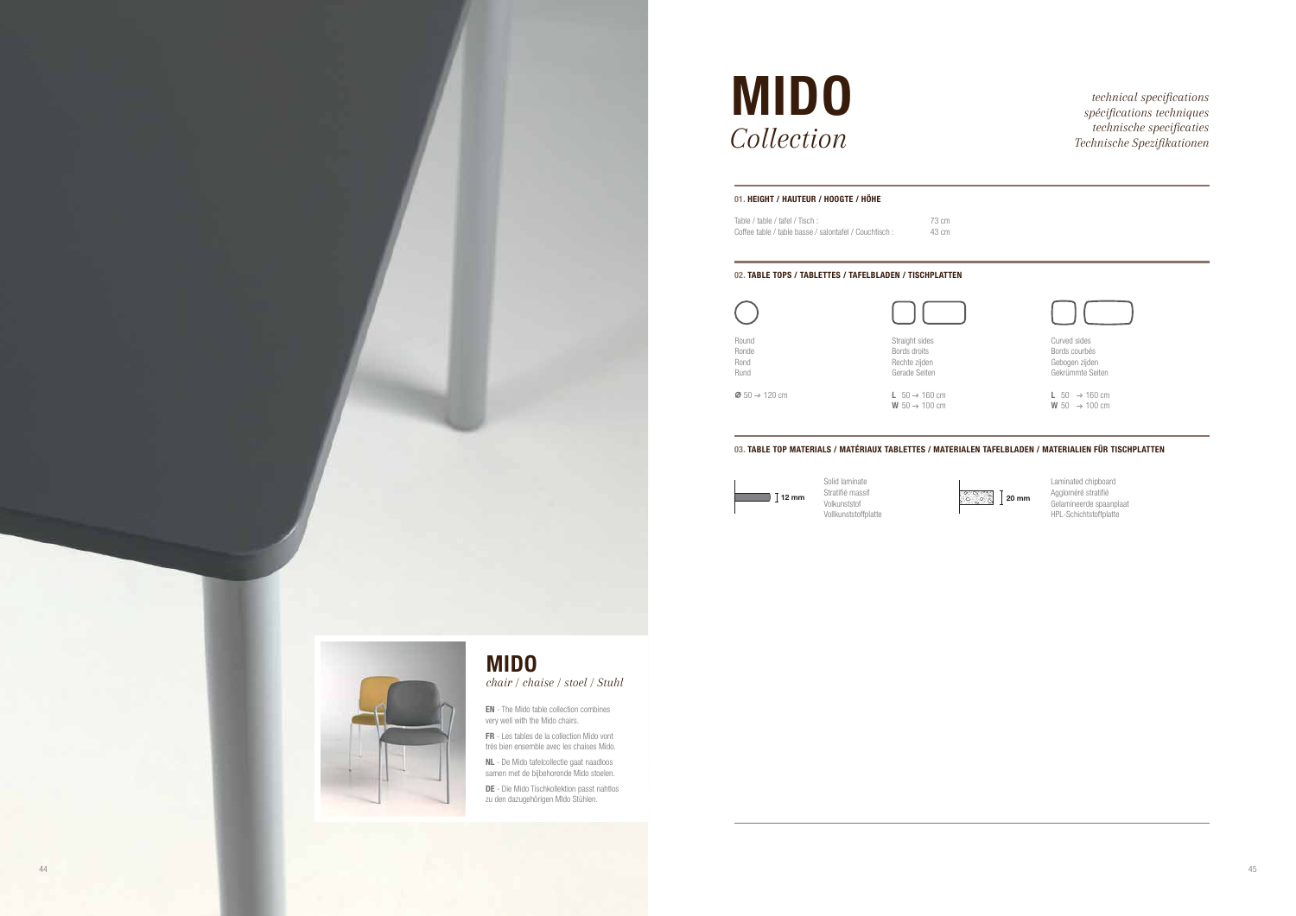*spécifications techniques technische specificaties*

|                | Curved sides<br>Bords courbés<br>Gebogen zijden<br>Gekrümmte Seiten |
|----------------|---------------------------------------------------------------------|
|                | L 50 $\rightarrow$ 160 cm<br>W 50 $\rightarrow$ 100 cm              |
|                | N TAFELBLADEN / MATERIALIEN FÜR TISCHPLATTEN                        |
| ्रेल्ट्<br>20m | Laminated chipboard<br>Aggloméré stratifié                          |

Solid laminate Stratifié massif Volkunststof Vollkunststoffplatte

Gelamineerde spaanplaat HPL-Schichtstoffplatte



20 mm



## **MIDO** *technical specifications technical specifications*  $Collection$

## 01. HEIGHT / HAUTEUR / HOOGTE / HÖHE

| Table / table / tafel / Tisch:                         | 73 cm |
|--------------------------------------------------------|-------|
| Coffee table / table basse / salontafel / Couchtisch : | 43 cm |

DE - Die Mido Tischkollektion passt nahtlos zu den dazugehörigen MIdo Stühlen.

## 02. TABLE TOPS / TABLETTES / TAFELBLADEN / TISCHPLATTEN

EN - The Mido table collection combines very well with the Mido chairs.

FR - Les tables de la collection Mido vont très bien ensemble avec les chaises Mido.

NL - De Mido tafelcollectie gaat naadloos samen met de bijbehorende Mido stoelen.

## MIDO

*chair / chaise / stoel / Stuhl*

| Round<br>Ronde<br>Rond<br>Rund        | Straight sides<br>Bords droits<br>Rechte zijden<br>Gerade Seiten |
|---------------------------------------|------------------------------------------------------------------|
| $\ddot{\phi}$ 50 $\rightarrow$ 120 cm | L $50 \rightarrow 160$ cm<br>W $50 \rightarrow 100$ cm           |

## 03. TABLE TOP MATERIALS / MATÉRIAUX TABLETTES / MATERIALEN